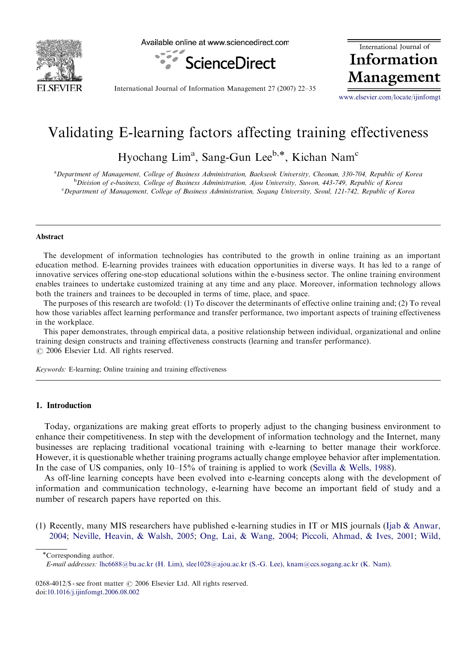

Available online at www.sciencedirect.com



International Journal of Information Management

International Journal of Information Management 27 (2007) 22–35

<www.elsevier.com/locate/ijinfomgt>

# Validating E-learning factors affecting training effectiveness

Hyochang Lim<sup>a</sup>, Sang-Gun Lee<sup>b,\*</sup>, Kichan Nam<sup>c</sup>

a Department of Management, College of Business Administration, Baekseok University, Cheonan, 330-704, Republic of Korea <sup>b</sup>Division of e-business, College of Business Administration, Ajou University, Suwon, 443-749, Republic of Korea c Department of Management, College of Business Administration, Sogang University, Seoul, 121-742, Republic of Korea

#### Abstract

The development of information technologies has contributed to the growth in online training as an important education method. E-learning provides trainees with education opportunities in diverse ways. It has led to a range of innovative services offering one-stop educational solutions within the e-business sector. The online training environment enables trainees to undertake customized training at any time and any place. Moreover, information technology allows both the trainers and trainees to be decoupled in terms of time, place, and space.

The purposes of this research are twofold: (1) To discover the determinants of effective online training and; (2) To reveal how those variables affect learning performance and transfer performance, two important aspects of training effectiveness in the workplace.

This paper demonstrates, through empirical data, a positive relationship between individual, organizational and online training design constructs and training effectiveness constructs (learning and transfer performance).  $O$  2006 Elsevier Ltd. All rights reserved.

Keywords: E-learning; Online training and training effectiveness

## 1. Introduction

Today, organizations are making great efforts to properly adjust to the changing business environment to enhance their competitiveness. In step with the development of information technology and the Internet, many businesses are replacing traditional vocational training with e-learning to better manage their workforce. However, it is questionable whether training programs actually change employee behavior after implementation. In the case of US companies, only 10–15% of training is applied to work [\(Sevilla & Wells, 1988](#page-12-0)).

As off-line learning concepts have been evolved into e-learning concepts along with the development of information and communication technology, e-learning have become an important field of study and a number of research papers have reported on this.

(1) Recently, many MIS researchers have published e-learning studies in IT or MIS journals ([Ijab & Anwar,](#page-11-0) [2004;](#page-11-0) [Neville, Heavin,](#page-12-0) & [Walsh, 2005;](#page-12-0) [Ong, Lai, & Wang, 2004;](#page-12-0) [Piccoli, Ahmad,](#page-12-0) [& Ives, 2001](#page-12-0); [Wild,](#page-12-0)

\*Corresponding author.

E-mail addresses: [lhc6688@bu.ac.kr \(H. Lim\),](mailto:lhc6688@bu.ac.kr) [slee1028@ajou.ac.kr \(S.-G. Lee\)](mailto:slee1028@ajou.ac.kr), [knam@ccs.sogang.ac.kr \(K. Nam\).](mailto:knam@ccs.sogang.ac.kr)

<sup>0268-4012/\$ -</sup> see front matter  $\odot$  2006 Elsevier Ltd. All rights reserved. doi[:10.1016/j.ijinfomgt.2006.08.002](dx.doi.org/10.1016/j.ijinfomgt.2006.08.002)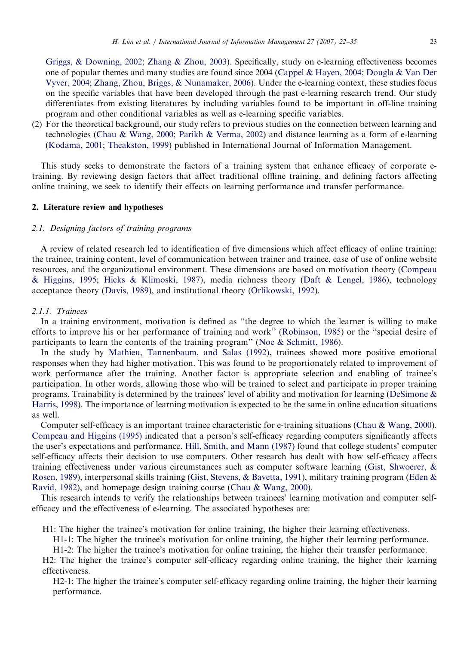[Griggs,](#page-12-0) & [Downing, 2002;](#page-12-0) [Zhang & Zhou, 2003](#page-12-0)). Specifically, study on e-learning effectiveness becomes one of popular themes and many studies are found since 2004 ([Cappel & Hayen, 2004](#page-11-0); [Dougla](#page-11-0) & [Van Der](#page-11-0) [Vyver, 2004](#page-11-0); [Zhang, Zhou, Briggs,](#page-12-0) & [Nunamaker, 2006\)](#page-12-0). Under the e-learning context, these studies focus on the specific variables that have been developed through the past e-learning research trend. Our study differentiates from existing literatures by including variables found to be important in off-line training program and other conditional variables as well as e-learning specific variables.

(2) For the theoretical background, our study refers to previous studies on the connection between learning and technologies [\(Chau & Wang, 2000;](#page-11-0) [Parikh & Verma, 2002\)](#page-12-0) and distance learning as a form of e-learning ([Kodama, 2001](#page-12-0); [Theakston, 1999](#page-12-0)) published in International Journal of Information Management.

This study seeks to demonstrate the factors of a training system that enhance efficacy of corporate etraining. By reviewing design factors that affect traditional offline training, and defining factors affecting online training, we seek to identify their effects on learning performance and transfer performance.

## 2. Literature review and hypotheses

## 2.1. Designing factors of training programs

A review of related research led to identification of five dimensions which affect efficacy of online training: the trainee, training content, level of communication between trainer and trainee, ease of use of online website resources, and the organizational environment. These dimensions are based on motivation theory ([Compeau](#page-11-0) & [Higgins, 1995](#page-11-0); [Hicks & Klimoski, 1987\)](#page-11-0), media richness theory [\(Daft & Lengel, 1986\)](#page-11-0), technology acceptance theory ([Davis, 1989](#page-11-0)), and institutional theory [\(Orlikowski, 1992](#page-12-0)).

#### 2.1.1. Trainees

In a training environment, motivation is defined as ''the degree to which the learner is willing to make efforts to improve his or her performance of training and work'' ([Robinson, 1985\)](#page-12-0) or the ''special desire of participants to learn the contents of the training program'' ([Noe](#page-12-0) & [Schmitt, 1986](#page-12-0)).

In the study by [Mathieu, Tannenbaum, and Salas \(1992\)](#page-12-0), trainees showed more positive emotional responses when they had higher motivation. This was found to be proportionately related to improvement of work performance after the training. Another factor is appropriate selection and enabling of trainee's participation. In other words, allowing those who will be trained to select and participate in proper training programs. Trainability is determined by the trainees' level of ability and motivation for learning [\(DeSimone](#page-11-0) & [Harris, 1998\)](#page-11-0). The importance of learning motivation is expected to be the same in online education situations as well.

Computer self-efficacy is an important trainee characteristic for e-training situations [\(Chau](#page-11-0) & [Wang, 2000](#page-11-0)). [Compeau and Higgins \(1995\)](#page-11-0) indicated that a person's self-efficacy regarding computers significantly affects the user's expectations and performance. [Hill, Smith, and Mann \(1987\)](#page-11-0) found that college students' computer self-efficacy affects their decision to use computers. Other research has dealt with how self-efficacy affects training effectiveness under various circumstances such as computer software learning [\(Gist, Shwoerer,](#page-11-0) & [Rosen, 1989\)](#page-11-0), interpersonal skills training [\(Gist, Stevens, & Bavetta, 1991\)](#page-11-0), military training program ([Eden](#page-11-0) & [Ravid, 1982\)](#page-11-0), and homepage design training course [\(Chau & Wang, 2000](#page-11-0)).

This research intends to verify the relationships between trainees' learning motivation and computer selfefficacy and the effectiveness of e-learning. The associated hypotheses are:

H1: The higher the trainee's motivation for online training, the higher their learning effectiveness.

H1-1: The higher the trainee's motivation for online training, the higher their learning performance.

H1-2: The higher the trainee's motivation for online training, the higher their transfer performance.

H2: The higher the trainee's computer self-efficacy regarding online training, the higher their learning effectiveness.

H2-1: The higher the trainee's computer self-efficacy regarding online training, the higher their learning performance.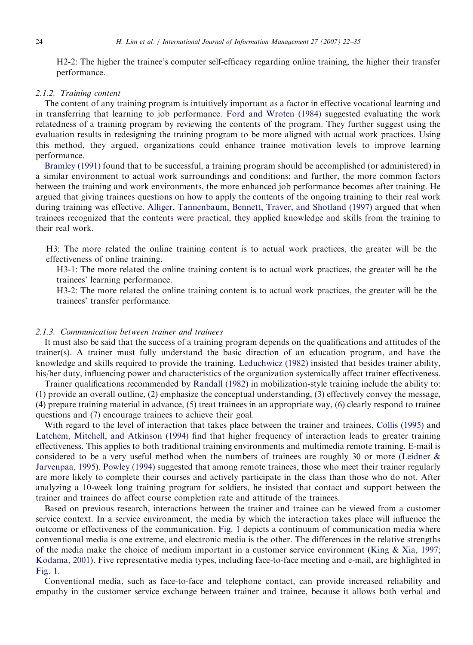H2-2: The higher the trainee's computer self-efficacy regarding online training, the higher their transfer performance.

## 2.1.2. Training content

The content of any training program is intuitively important as a factor in effective vocational learning and in transferring that learning to job performance. [Ford and Wroten \(1984\)](#page-11-0) suggested evaluating the work relatedness of a training program by reviewing the contents of the program. They further suggest using the evaluation results in redesigning the training program to be more aligned with actual work practices. Using this method, they argued, organizations could enhance trainee motivation levels to improve learning performance.

[Bramley \(1991\)](#page-11-0) found that to be successful, a training program should be accomplished (or administered) in a similar environment to actual work surroundings and conditions; and further, the more common factors between the training and work environments, the more enhanced job performance becomes after training. He argued that giving trainees questions on how to apply the contents of the ongoing training to their real work during training was effective. [Alliger, Tannenbaum, Bennett, Traver, and Shotland \(1997\)](#page-11-0) argued that when trainees recognized that the contents were practical, they applied knowledge and skills from the training to their real work.

H3: The more related the online training content is to actual work practices, the greater will be the effectiveness of online training.

H3-1: The more related the online training content is to actual work practices, the greater will be the trainees' learning performance.

H3-2: The more related the online training content is to actual work practices, the greater will be the trainees' transfer performance.

# 2.1.3. Communication between trainer and trainees

It must also be said that the success of a training program depends on the qualifications and attitudes of the trainer(s). A trainer must fully understand the basic direction of an education program, and have the knowledge and skills required to provide the training. [Leduchwicz \(1982\)](#page-12-0) insisted that besides trainer ability, his/her duty, influencing power and characteristics of the organization systemically affect trainer effectiveness.

Trainer qualifications recommended by [Randall \(1982\)](#page-12-0) in mobilization-style training include the ability to: (1) provide an overall outline, (2) emphasize the conceptual understanding, (3) effectively convey the message, (4) prepare training material in advance, (5) treat trainees in an appropriate way, (6) clearly respond to trainee questions and (7) encourage trainees to achieve their goal.

With regard to the level of interaction that takes place between the trainer and trainees, [Collis \(1995\)](#page-11-0) and [Latchem, Mitchell, and Atkinson \(1994\)](#page-12-0) find that higher frequency of interaction leads to greater training effectiveness. This applies to both traditional training environments and multimedia remote training. E-mail is considered to be a very useful method when the numbers of trainees are roughly 30 or more ([Leidner &](#page-12-0) [Jarvenpaa, 1995](#page-12-0)). [Powley \(1994\)](#page-12-0) suggested that among remote trainees, those who meet their trainer regularly are more likely to complete their courses and actively participate in the class than those who do not. After analyzing a 10-week long training program for soldiers, he insisted that contact and support between the trainer and trainees do affect course completion rate and attitude of the trainees.

Based on previous research, interactions between the trainer and trainee can be viewed from a customer service context. In a service environment, the media by which the interaction takes place will influence the outcome or effectiveness of the communication. [Fig. 1](#page-3-0) depicts a continuum of communication media where conventional media is one extreme, and electronic media is the other. The differences in the relative strengths of the media make the choice of medium important in a customer service environment ([King & Xia, 1997;](#page-12-0) [Kodama, 2001\)](#page-12-0). Five representative media types, including face-to-face meeting and e-mail, are highlighted in [Fig. 1.](#page-3-0)

Conventional media, such as face-to-face and telephone contact, can provide increased reliability and empathy in the customer service exchange between trainer and trainee, because it allows both verbal and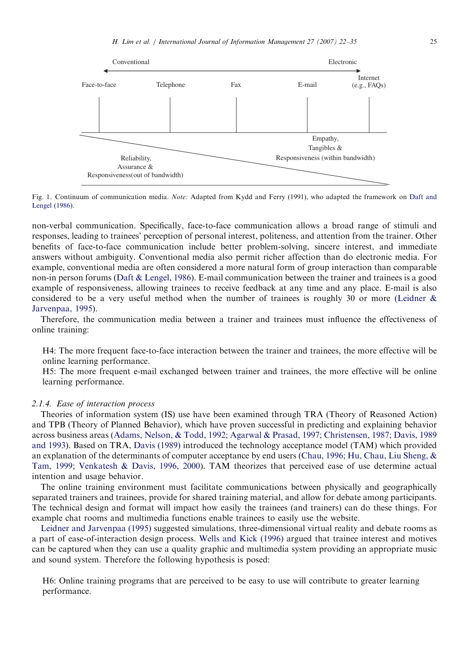<span id="page-3-0"></span>

Fig. 1. Continuum of communication media. Note: Adapted from Kydd and Ferry (1991), who adapted the framework on [Daft and](#page-11-0) [Lengel \(1986\)](#page-11-0).

non-verbal communication. Specifically, face-to-face communication allows a broad range of stimuli and responses, leading to trainees' perception of personal interest, politeness, and attention from the trainer. Other benefits of face-to-face communication include better problem-solving, sincere interest, and immediate answers without ambiguity. Conventional media also permit richer affection than do electronic media. For example, conventional media are often considered a more natural form of group interaction than comparable non-in person forums [\(Daft](#page-11-0) [& Lengel, 1986](#page-11-0)). E-mail communication between the trainer and trainees is a good example of responsiveness, allowing trainees to receive feedback at any time and any place. E-mail is also considered to be a very useful method when the number of trainees is roughly 30 or more ([Leidner](#page-12-0)  $\&$ [Jarvenpaa, 1995](#page-12-0)).

Therefore, the communication media between a trainer and trainees must influence the effectiveness of online training:

H4: The more frequent face-to-face interaction between the trainer and trainees, the more effective will be online learning performance.

H5: The more frequent e-mail exchanged between trainer and trainees, the more effective will be online learning performance.

#### 2.1.4. Ease of interaction process

Theories of information system (IS) use have been examined through TRA (Theory of Reasoned Action) and TPB (Theory of Planned Behavior), which have proven successful in predicting and explaining behavior across business areas ([Adams, Nelson, & Todd, 1992;](#page-11-0) [Agarwal & Prasad, 1997](#page-11-0); [Christensen, 1987](#page-11-0); [Davis, 1989](#page-11-0) [and 1993\)](#page-11-0). Based on TRA, [Davis \(1989\)](#page-11-0) introduced the technology acceptance model (TAM) which provided an explanation of the determinants of computer acceptance by end users [\(Chau, 1996](#page-11-0); [Hu, Chau, Liu Sheng,](#page-11-0) & [Tam, 1999;](#page-11-0) [Venkatesh & Davis, 1996, 2000\)](#page-12-0). TAM theorizes that perceived ease of use determine actual intention and usage behavior.

The online training environment must facilitate communications between physically and geographically separated trainers and trainees, provide for shared training material, and allow for debate among participants. The technical design and format will impact how easily the trainees (and trainers) can do these things. For example chat rooms and multimedia functions enable trainees to easily use the website.

[Leidner and Jarvenpaa \(1995\)](#page-12-0) suggested simulations, three-dimensional virtual reality and debate rooms as a part of ease-of-interaction design process. [Wells and Kick \(1996\)](#page-12-0) argued that trainee interest and motives can be captured when they can use a quality graphic and multimedia system providing an appropriate music and sound system. Therefore the following hypothesis is posed:

H6: Online training programs that are perceived to be easy to use will contribute to greater learning performance.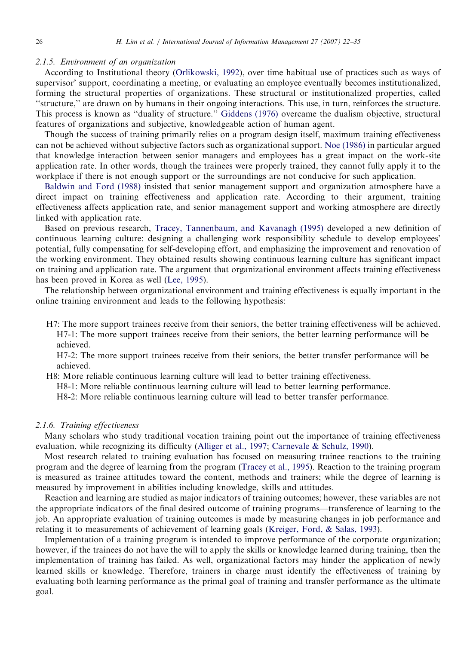## 2.1.5. Environment of an organization

According to Institutional theory [\(Orlikowski, 1992\)](#page-12-0), over time habitual use of practices such as ways of supervisor' support, coordinating a meeting, or evaluating an employee eventually becomes institutionalized, forming the structural properties of organizations. These structural or institutionalized properties, called ''structure,'' are drawn on by humans in their ongoing interactions. This use, in turn, reinforces the structure. This process is known as ''duality of structure.'' [Giddens \(1976\)](#page-11-0) overcame the dualism objective, structural features of organizations and subjective, knowledgeable action of human agent.

Though the success of training primarily relies on a program design itself, maximum training effectiveness can not be achieved without subjective factors such as organizational support. [Noe \(1986\)](#page-12-0) in particular argued that knowledge interaction between senior managers and employees has a great impact on the work-site application rate. In other words, though the trainees were properly trained, they cannot fully apply it to the workplace if there is not enough support or the surroundings are not conducive for such application.

[Baldwin and Ford \(1988\)](#page-11-0) insisted that senior management support and organization atmosphere have a direct impact on training effectiveness and application rate. According to their argument, training effectiveness affects application rate, and senior management support and working atmosphere are directly linked with application rate.

Based on previous research, [Tracey, Tannenbaum, and Kavanagh \(1995\)](#page-12-0) developed a new definition of continuous learning culture: designing a challenging work responsibility schedule to develop employees' potential, fully compensating for self-developing effort, and emphasizing the improvement and renovation of the working environment. They obtained results showing continuous learning culture has significant impact on training and application rate. The argument that organizational environment affects training effectiveness has been proved in Korea as well [\(Lee, 1995\)](#page-12-0).

The relationship between organizational environment and training effectiveness is equally important in the online training environment and leads to the following hypothesis:

H7: The more support trainees receive from their seniors, the better training effectiveness will be achieved. H7-1: The more support trainees receive from their seniors, the better learning performance will be achieved.

H7-2: The more support trainees receive from their seniors, the better transfer performance will be achieved.

H8: More reliable continuous learning culture will lead to better training effectiveness.

H8-1: More reliable continuous learning culture will lead to better learning performance.

H8-2: More reliable continuous learning culture will lead to better transfer performance.

#### 2.1.6. Training effectiveness

Many scholars who study traditional vocation training point out the importance of training effectiveness evaluation, while recognizing its difficulty ([Alliger et al., 1997](#page-11-0); [Carnevale & Schulz, 1990\)](#page-11-0).

Most research related to training evaluation has focused on measuring trainee reactions to the training program and the degree of learning from the program ([Tracey et al., 1995](#page-12-0)). Reaction to the training program is measured as trainee attitudes toward the content, methods and trainers; while the degree of learning is measured by improvement in abilities including knowledge, skills and attitudes.

Reaction and learning are studied as major indicators of training outcomes; however, these variables are not the appropriate indicators of the final desired outcome of training programs—transference of learning to the job. An appropriate evaluation of training outcomes is made by measuring changes in job performance and relating it to measurements of achievement of learning goals [\(Kreiger, Ford,](#page-12-0) & [Salas, 1993](#page-12-0)).

Implementation of a training program is intended to improve performance of the corporate organization; however, if the trainees do not have the will to apply the skills or knowledge learned during training, then the implementation of training has failed. As well, organizational factors may hinder the application of newly learned skills or knowledge. Therefore, trainers in charge must identify the effectiveness of training by evaluating both learning performance as the primal goal of training and transfer performance as the ultimate goal.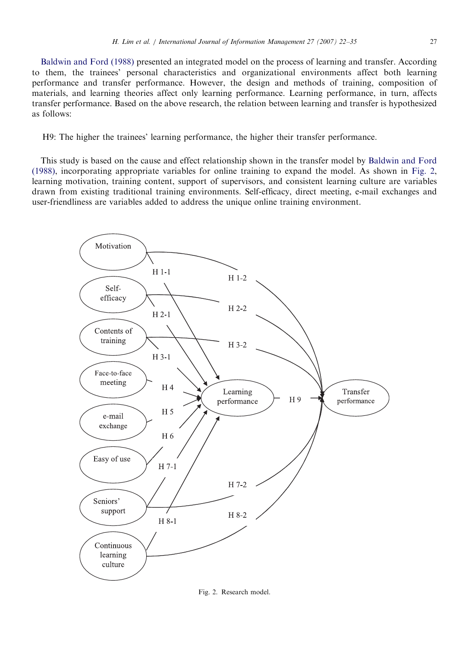[Baldwin and Ford \(1988\)](#page-11-0) presented an integrated model on the process of learning and transfer. According to them, the trainees' personal characteristics and organizational environments affect both learning performance and transfer performance. However, the design and methods of training, composition of materials, and learning theories affect only learning performance. Learning performance, in turn, affects transfer performance. Based on the above research, the relation between learning and transfer is hypothesized as follows:

## H9: The higher the trainees' learning performance, the higher their transfer performance.

This study is based on the cause and effect relationship shown in the transfer model by [Baldwin and Ford](#page-11-0) [\(1988\)](#page-11-0), incorporating appropriate variables for online training to expand the model. As shown in Fig. 2, learning motivation, training content, support of supervisors, and consistent learning culture are variables drawn from existing traditional training environments. Self-efficacy, direct meeting, e-mail exchanges and user-friendliness are variables added to address the unique online training environment.



Fig. 2. Research model.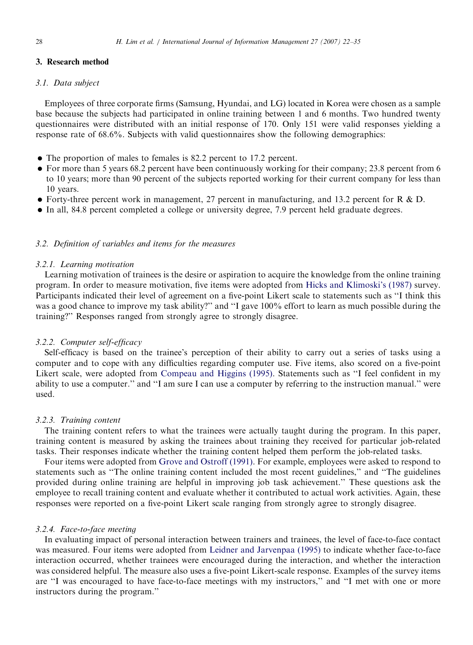## 3. Research method

#### 3.1. Data subject

Employees of three corporate firms (Samsung, Hyundai, and LG) located in Korea were chosen as a sample base because the subjects had participated in online training between 1 and 6 months. Two hundred twenty questionnaires were distributed with an initial response of 170. Only 151 were valid responses yielding a response rate of 68.6%. Subjects with valid questionnaires show the following demographics:

- The proportion of males to females is 82.2 percent to 17.2 percent.
- For more than 5 years 68.2 percent have been continuously working for their company; 23.8 percent from 6 to 10 years; more than 90 percent of the subjects reported working for their current company for less than 10 years.
- Forty-three percent work in management, 27 percent in manufacturing, and 13.2 percent for R & D.
- In all, 84.8 percent completed a college or university degree, 7.9 percent held graduate degrees.

## 3.2. Definition of variables and items for the measures

## 3.2.1. Learning motivation

Learning motivation of trainees is the desire or aspiration to acquire the knowledge from the online training program. In order to measure motivation, five items were adopted from [Hicks and Klimoski's \(1987\)](#page-11-0) survey. Participants indicated their level of agreement on a five-point Likert scale to statements such as ''I think this was a good chance to improve my task ability?" and "I gave 100% effort to learn as much possible during the training?'' Responses ranged from strongly agree to strongly disagree.

### 3.2.2. Computer self-efficacy

Self-efficacy is based on the trainee's perception of their ability to carry out a series of tasks using a computer and to cope with any difficulties regarding computer use. Five items, also scored on a five-point Likert scale, were adopted from [Compeau and Higgins \(1995\).](#page-11-0) Statements such as "I feel confident in my ability to use a computer." and "I am sure I can use a computer by referring to the instruction manual." were used.

#### 3.2.3. Training content

The training content refers to what the trainees were actually taught during the program. In this paper, training content is measured by asking the trainees about training they received for particular job-related tasks. Their responses indicate whether the training content helped them perform the job-related tasks.

Four items were adopted from [Grove and Ostroff \(1991\)](#page-11-0). For example, employees were asked to respond to statements such as ''The online training content included the most recent guidelines,'' and ''The guidelines provided during online training are helpful in improving job task achievement.'' These questions ask the employee to recall training content and evaluate whether it contributed to actual work activities. Again, these responses were reported on a five-point Likert scale ranging from strongly agree to strongly disagree.

#### 3.2.4. Face-to-face meeting

In evaluating impact of personal interaction between trainers and trainees, the level of face-to-face contact was measured. Four items were adopted from [Leidner and Jarvenpaa \(1995\)](#page-12-0) to indicate whether face-to-face interaction occurred, whether trainees were encouraged during the interaction, and whether the interaction was considered helpful. The measure also uses a five-point Likert-scale response. Examples of the survey items are ''I was encouraged to have face-to-face meetings with my instructors,'' and ''I met with one or more instructors during the program.''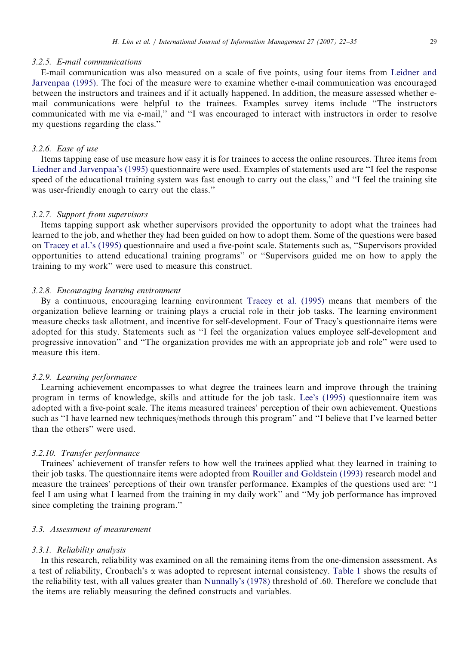## 3.2.5. E-mail communications

E-mail communication was also measured on a scale of five points, using four items from [Leidner and](#page-12-0) [Jarvenpaa \(1995\)](#page-12-0). The foci of the measure were to examine whether e-mail communication was encouraged between the instructors and trainees and if it actually happened. In addition, the measure assessed whether email communications were helpful to the trainees. Examples survey items include ''The instructors communicated with me via e-mail,'' and ''I was encouraged to interact with instructors in order to resolve my questions regarding the class.''

## 3.2.6. Ease of use

Items tapping ease of use measure how easy it is for trainees to access the online resources. Three items from [Liedner and Jarvenpaa's \(1995\)](#page-12-0) questionnaire were used. Examples of statements used are ''I feel the response speed of the educational training system was fast enough to carry out the class,'' and ''I feel the training site was user-friendly enough to carry out the class.''

## 3.2.7. Support from supervisors

Items tapping support ask whether supervisors provided the opportunity to adopt what the trainees had learned to the job, and whether they had been guided on how to adopt them. Some of the questions were based on [Tracey et al.'s \(1995\)](#page-12-0) questionnaire and used a five-point scale. Statements such as, ''Supervisors provided opportunities to attend educational training programs'' or ''Supervisors guided me on how to apply the training to my work'' were used to measure this construct.

## 3.2.8. Encouraging learning environment

By a continuous, encouraging learning environment [Tracey et al. \(1995\)](#page-12-0) means that members of the organization believe learning or training plays a crucial role in their job tasks. The learning environment measure checks task allotment, and incentive for self-development. Four of Tracy's questionnaire items were adopted for this study. Statements such as ''I feel the organization values employee self-development and progressive innovation'' and ''The organization provides me with an appropriate job and role'' were used to measure this item.

## 3.2.9. Learning performance

Learning achievement encompasses to what degree the trainees learn and improve through the training program in terms of knowledge, skills and attitude for the job task. [Lee's \(1995\)](#page-12-0) questionnaire item was adopted with a five-point scale. The items measured trainees' perception of their own achievement. Questions such as ''I have learned new techniques/methods through this program'' and ''I believe that I've learned better than the others'' were used.

#### 3.2.10. Transfer performance

Trainees' achievement of transfer refers to how well the trainees applied what they learned in training to their job tasks. The questionnaire items were adopted from [Rouiller and Goldstein \(1993\)](#page-12-0) research model and measure the trainees' perceptions of their own transfer performance. Examples of the questions used are: ''I feel I am using what I learned from the training in my daily work'' and ''My job performance has improved since completing the training program.''

## 3.3. Assessment of measurement

#### 3.3.1. Reliability analysis

In this research, reliability was examined on all the remaining items from the one-dimension assessment. As a test of reliability, Cronbach's  $\alpha$  was adopted to represent internal consistency. [Table 1](#page-8-0) shows the results of the reliability test, with all values greater than [Nunnally's \(1978\)](#page-12-0) threshold of .60. Therefore we conclude that the items are reliably measuring the defined constructs and variables.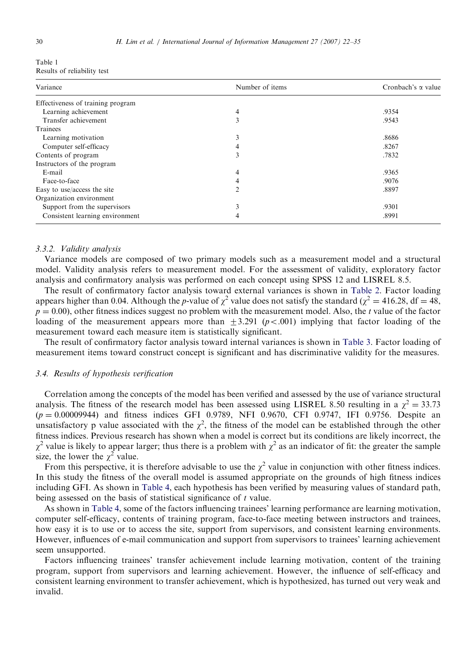<span id="page-8-0"></span>

| Table 1 |                             |  |
|---------|-----------------------------|--|
|         | Results of reliability test |  |

| Variance                          | Number of items | Cronbach's $\alpha$ value |
|-----------------------------------|-----------------|---------------------------|
| Effectiveness of training program |                 |                           |
| Learning achievement              | 4               | .9354                     |
| Transfer achievement              | 3               | .9543                     |
| Trainees                          |                 |                           |
| Learning motivation               | $\mathcal{E}$   | .8686                     |
| Computer self-efficacy            |                 | .8267                     |
| Contents of program               | 3               | .7832                     |
| Instructors of the program        |                 |                           |
| E-mail                            | 4               | .9365                     |
| Face-to-face                      | 4               | .9076                     |
| Easy to use/access the site       | ↑               | .8897                     |
| Organization environment          |                 |                           |
| Support from the supervisors      | 3               | .9301                     |
| Consistent learning environment   | 4               | .8991                     |

#### 3.3.2. Validity analysis

Variance models are composed of two primary models such as a measurement model and a structural model. Validity analysis refers to measurement model. For the assessment of validity, exploratory factor analysis and confirmatory analysis was performed on each concept using SPSS 12 and LISREL 8.5.

The result of confirmatory factor analysis toward external variances is shown in [Table 2.](#page-9-0) Factor loading appears higher than 0.04. Although the p-value of  $\chi^2$  value does not satisfy the standard ( $\chi^2 = 416.28$ , df = 48,  $p = 0.00$ , other fitness indices suggest no problem with the measurement model. Also, the t value of the factor loading of the measurement appears more than  $+3.291$  ( $p < .001$ ) implying that factor loading of the measurement toward each measure item is statistically significant.

The result of confirmatory factor analysis toward internal variances is shown in [Table 3.](#page-9-0) Factor loading of measurement items toward construct concept is significant and has discriminative validity for the measures.

## 3.4. Results of hypothesis verification

Correlation among the concepts of the model has been verified and assessed by the use of variance structural analysis. The fitness of the research model has been assessed using LISREL 8.50 resulting in a  $\chi^2 = 33.73$  $(p = 0.00009944)$  and fitness indices GFI 0.9789, NFI 0.9670, CFI 0.9747, IFI 0.9756. Despite an unsatisfactory p value associated with the  $\chi^2$ , the fitness of the model can be established through the other fitness indices. Previous research has shown when a model is correct but its conditions are likely incorrect, the  $\chi^2$  value is likely to appear larger; thus there is a problem with  $\chi^2$  as an indicator of fit: the greater the sample size, the lower the  $\chi^2$  value.

From this perspective, it is therefore advisable to use the  $\chi^2$  value in conjunction with other fitness indices. In this study the fitness of the overall model is assumed appropriate on the grounds of high fitness indices including GFI. As shown in [Table 4](#page-10-0), each hypothesis has been verified by measuring values of standard path, being assessed on the basis of statistical significance of t value.

As shown in [Table 4](#page-10-0), some of the factors influencing trainees' learning performance are learning motivation, computer self-efficacy, contents of training program, face-to-face meeting between instructors and trainees, how easy it is to use or to access the site, support from supervisors, and consistent learning environments. However, influences of e-mail communication and support from supervisors to trainees' learning achievement seem unsupported.

Factors influencing trainees' transfer achievement include learning motivation, content of the training program, support from supervisors and learning achievement. However, the influence of self-efficacy and consistent learning environment to transfer achievement, which is hypothesized, has turned out very weak and invalid.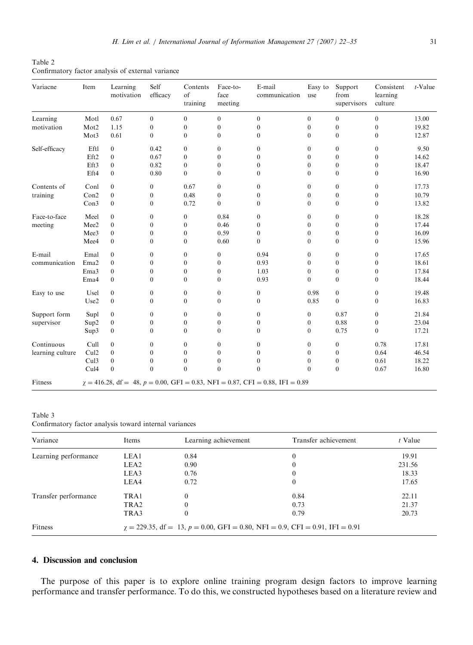<span id="page-9-0"></span>Table 2 Confirmatory factor analysis of external variance

| Variacne         | Item                                                                                  | Learning<br>motivation | Self<br>efficacy | Contents<br>of<br>training | Face-to-<br>face<br>meeting | E-mail<br>communication | Easy to<br>use   | Support<br>from<br>supervisors | Consistent<br>learning<br>culture | $t$ -Value |
|------------------|---------------------------------------------------------------------------------------|------------------------|------------------|----------------------------|-----------------------------|-------------------------|------------------|--------------------------------|-----------------------------------|------------|
| Learning         | Motl                                                                                  | 0.67                   | $\boldsymbol{0}$ | $\boldsymbol{0}$           | $\mathbf{0}$                | $\boldsymbol{0}$        | $\mathbf{0}$     | $\boldsymbol{0}$               | $\boldsymbol{0}$                  | 13.00      |
| motivation       | Mot2                                                                                  | 1.15                   | $\boldsymbol{0}$ | $\boldsymbol{0}$           | $\mathbf{0}$                | $\boldsymbol{0}$        | $\mathbf{0}$     | $\boldsymbol{0}$               | $\boldsymbol{0}$                  | 19.82      |
|                  | Mot3                                                                                  | 0.61                   | $\boldsymbol{0}$ | $\mathbf{0}$               | $\theta$                    | $\boldsymbol{0}$        | $\theta$         | $\mathbf{0}$                   | $\mathbf{0}$                      | 12.87      |
| Self-efficacy    | Eftl                                                                                  | $\mathbf{0}$           | 0.42             | $\boldsymbol{0}$           | $\overline{0}$              | $\boldsymbol{0}$        | $\mathbf{0}$     | $\mathbf{0}$                   | $\mathbf{0}$                      | 9.50       |
|                  | Eft2                                                                                  | $\mathbf{0}$           | 0.67             | $\boldsymbol{0}$           | 0                           | $\boldsymbol{0}$        | $\mathbf{0}$     | $\boldsymbol{0}$               | $\boldsymbol{0}$                  | 14.62      |
|                  | Eft3                                                                                  | $\mathbf{0}$           | 0.82             | $\boldsymbol{0}$           | $\mathbf{0}$                | $\boldsymbol{0}$        | $\mathbf{0}$     | $\boldsymbol{0}$               | $\boldsymbol{0}$                  | 18.47      |
|                  | Eft4                                                                                  | $\mathbf{0}$           | 0.80             | $\boldsymbol{0}$           | $\mathbf{0}$                | $\boldsymbol{0}$        | $\mathbf{0}$     | $\boldsymbol{0}$               | 0                                 | 16.90      |
| Contents of      | Conl                                                                                  | $\theta$               | $\boldsymbol{0}$ | 0.67                       | $\boldsymbol{0}$            | $\boldsymbol{0}$        | $\mathbf{0}$     | $\boldsymbol{0}$               | $\boldsymbol{0}$                  | 17.73      |
| training         | Con2                                                                                  | $\boldsymbol{0}$       | $\boldsymbol{0}$ | 0.48                       | $\boldsymbol{0}$            | $\boldsymbol{0}$        | $\mathbf{0}$     | $\boldsymbol{0}$               | $\boldsymbol{0}$                  | 10.79      |
|                  | Con3                                                                                  | $\boldsymbol{0}$       | $\boldsymbol{0}$ | 0.72                       | $\mathbf{0}$                | $\boldsymbol{0}$        | $\mathbf{0}$     | $\boldsymbol{0}$               | $\boldsymbol{0}$                  | 13.82      |
| Face-to-face     | Meel                                                                                  | $\mathbf{0}$           | $\boldsymbol{0}$ | $\mathbf{0}$               | 0.84                        | $\boldsymbol{0}$        | $\mathbf{0}$     | $\mathbf{0}$                   | $\boldsymbol{0}$                  | 18.28      |
| meeting          | Mee2                                                                                  | $\mathbf{0}$           | $\boldsymbol{0}$ | $\boldsymbol{0}$           | 0.46                        | $\boldsymbol{0}$        | $\mathbf{0}$     | $\boldsymbol{0}$               | $\boldsymbol{0}$                  | 17.44      |
|                  | Mee <sub>3</sub>                                                                      | $\mathbf{0}$           | $\boldsymbol{0}$ | $\mathbf{0}$               | 0.59                        | $\boldsymbol{0}$        | $\mathbf{0}$     | $\mathbf{0}$                   | $\boldsymbol{0}$                  | 16.09      |
|                  | Mee4                                                                                  | $\mathbf{0}$           | $\mathbf{0}$     | $\theta$                   | 0.60                        | $\boldsymbol{0}$        | $\theta$         | $\mathbf{0}$                   | $\mathbf{0}$                      | 15.96      |
| E-mail           | Emal                                                                                  | $\theta$               | $\mathbf{0}$     | $\mathbf{0}$               | $\mathbf{0}$                | 0.94                    | $\mathbf{0}$     | $\mathbf{0}$                   | $\boldsymbol{0}$                  | 17.65      |
| communication    | Ema <sub>2</sub>                                                                      | $\mathbf{0}$           | $\mathbf{0}$     | $\mathbf{0}$               | $\mathbf{0}$                | 0.93                    | $\mathbf{0}$     | $\boldsymbol{0}$               | $\boldsymbol{0}$                  | 18.61      |
|                  | Ema3                                                                                  | $\mathbf{0}$           | $\mathbf{0}$     | $\mathbf{0}$               | $\mathbf{0}$                | 1.03                    | $\mathbf{0}$     | $\mathbf{0}$                   | $\mathbf{0}$                      | 17.84      |
|                  | Ema4                                                                                  | $\mathbf{0}$           | $\mathbf{0}$     | $\Omega$                   | $\theta$                    | 0.93                    | $\theta$         | $\mathbf{0}$                   | $\mathbf{0}$                      | 18.44      |
| Easy to use      | Usel                                                                                  | $\mathbf{0}$           | $\boldsymbol{0}$ | $\mathbf{0}$               | $\mathbf{0}$                | $\boldsymbol{0}$        | 0.98             | $\mathbf{0}$                   | $\boldsymbol{0}$                  | 19.48      |
|                  | Use2                                                                                  | $\boldsymbol{0}$       | $\boldsymbol{0}$ | $\mathbf{0}$               | $\mathbf{0}$                | $\boldsymbol{0}$        | 0.85             | $\mathbf{0}$                   | $\boldsymbol{0}$                  | 16.83      |
| Support form     | Supl                                                                                  | $\boldsymbol{0}$       | $\boldsymbol{0}$ | $\mathbf{0}$               | $\mathbf{0}$                | $\boldsymbol{0}$        | $\boldsymbol{0}$ | 0.87                           | $\boldsymbol{0}$                  | 21.84      |
| supervisor       | Sup2                                                                                  | $\boldsymbol{0}$       | $\boldsymbol{0}$ | $\boldsymbol{0}$           | $\boldsymbol{0}$            | $\boldsymbol{0}$        | $\boldsymbol{0}$ | 0.88                           | $\boldsymbol{0}$                  | 23.04      |
|                  | Sup3                                                                                  | $\mathbf{0}$           | $\mathbf{0}$     | $\theta$                   | $\theta$                    | $\mathbf{0}$            | $\mathbf{0}$     | 0.75                           | $\mathbf{0}$                      | 17.21      |
| Continuous       | Cull                                                                                  | $\mathbf{0}$           | $\boldsymbol{0}$ | $\boldsymbol{0}$           | $\boldsymbol{0}$            | $\boldsymbol{0}$        | $\mathbf{0}$     | $\boldsymbol{0}$               | 0.78                              | 17.81      |
| learning culture | Cul2                                                                                  | $\boldsymbol{0}$       | $\boldsymbol{0}$ | $\boldsymbol{0}$           | $\boldsymbol{0}$            | $\boldsymbol{0}$        | $\mathbf{0}$     | $\boldsymbol{0}$               | 0.64                              | 46.54      |
|                  | Cul3                                                                                  | $\mathbf{0}$           | $\boldsymbol{0}$ | $\boldsymbol{0}$           | $\mathbf{0}$                | $\boldsymbol{0}$        | $\mathbf{0}$     | $\boldsymbol{0}$               | 0.61                              | 18.22      |
|                  | Cul <sub>4</sub>                                                                      | $\boldsymbol{0}$       | $\boldsymbol{0}$ | $\boldsymbol{0}$           | $\mathbf{0}$                | $\boldsymbol{0}$        | $\theta$         | $\boldsymbol{0}$               | 0.67                              | 16.80      |
| Fitness          | $\gamma = 416.28$ , df = 48, p = 0.00, GFI = 0.83, NFI = 0.87, CFI = 0.88, IFI = 0.89 |                        |                  |                            |                             |                         |                  |                                |                                   |            |

Table 3 Confirmatory factor analysis toward internal variances

| Variance             | Items            | Learning achievement                                                                 | Transfer achievement | $t$ Value |
|----------------------|------------------|--------------------------------------------------------------------------------------|----------------------|-----------|
| Learning performance | LEA1             | 0.84                                                                                 | 0                    | 19.91     |
|                      | LEA <sub>2</sub> | 0.90                                                                                 | 0                    | 231.56    |
|                      | LEA3             | 0.76                                                                                 | 0                    | 18.33     |
|                      | LEA4             | 0.72                                                                                 | 0                    | 17.65     |
| Transfer performance | TRA1             | $\theta$                                                                             | 0.84                 | 22.11     |
|                      | TRA <sub>2</sub> | $\mathbf{0}$                                                                         | 0.73                 | 21.37     |
|                      | TRA3             | $\mathbf{0}$                                                                         | 0.79                 | 20.73     |
| Fitness              |                  | $\gamma = 229.35$ , df = 13, p = 0.00, GFI = 0.80, NFI = 0.9, CFI = 0.91, IFI = 0.91 |                      |           |

## 4. Discussion and conclusion

The purpose of this paper is to explore online training program design factors to improve learning performance and transfer performance. To do this, we constructed hypotheses based on a literature review and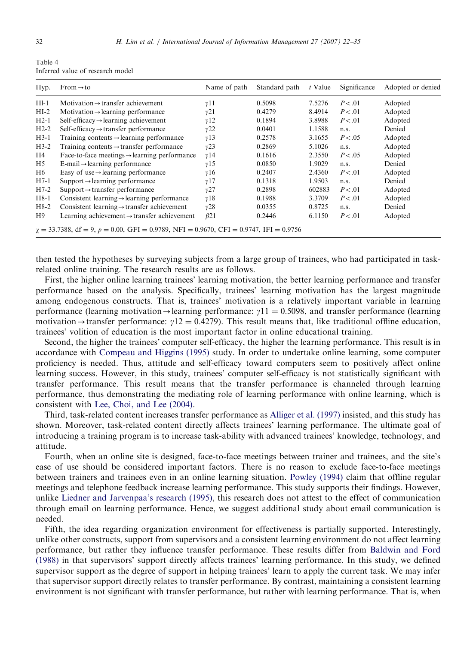<span id="page-10-0"></span>

| Table 4 | Inferred value of research model |                    |  |
|---------|----------------------------------|--------------------|--|
|         | $Hyp.$ From $\rightarrow$ to     | Name of path Stand |  |
|         |                                  |                    |  |

| Hyp.   | $From \rightarrow to$                                                                       | Name of path | Standard path | t Value | Significance | Adopted or denied |
|--------|---------------------------------------------------------------------------------------------|--------------|---------------|---------|--------------|-------------------|
| $H1-1$ | Motivation $\rightarrow$ transfer achievement                                               | $\gamma$ 11  | 0.5098        | 7.5276  | P < .01      | Adopted           |
| $HI-2$ | Motivation $\rightarrow$ learning performance                                               | v21          | 0.4279        | 8.4914  | P < .01      | Adopted           |
| $H2-1$ | $Self\text{-efficacy} \rightarrow learning$ achievement                                     | $\gamma$ 12  | 0.1894        | 3.8988  | P < 0.01     | Adopted           |
| $H2-2$ | Self-efficacy $\rightarrow$ transfer performance                                            | v22          | 0.0401        | 1.1588  | n.s.         | Denied            |
| $H3-1$ | Training contents $\rightarrow$ learning performance                                        | $\gamma$ 13  | 0.2578        | 3.1655  | P < .05      | Adopted           |
| $H3-2$ | Training contents $\rightarrow$ transfer performance                                        | v23          | 0.2869        | 5.1026  | n.s.         | Adopted           |
| H4     | Face-to-face meetings $\rightarrow$ learning performance                                    | $\gamma$ 14  | 0.1616        | 2.3550  | P < .05      | Adopted           |
| H5     | $E$ -mail $\rightarrow$ learning performance                                                | $\gamma$ 15  | 0.0850        | 1.9029  | n.s.         | Denied            |
| H6     | Easy of use $\rightarrow$ learning performance                                              | $\gamma$ 16  | 0.2407        | 2.4360  | P < .01      | Adopted           |
| $H7-1$ | $Support \rightarrow learning$ performance                                                  | v17          | 0.1318        | 1.9503  | n.s.         | Denied            |
| $H7-2$ | $Support \rightarrow transfer$ performance                                                  | v27          | 0.2898        | 602883  | P < .01      | Adopted           |
| $H8-1$ | Consistent learning $\rightarrow$ learning performance                                      | $\gamma$ 18  | 0.1988        | 3.3709  | P < .01      | Adopted           |
| $H8-2$ | Consistent learning $\rightarrow$ transfer achievement                                      | v28          | 0.0355        | 0.8725  | n.s.         | Denied            |
| H9     | Learning achievement $\rightarrow$ transfer achievement                                     | $\beta$ 21   | 0.2446        | 6.1150  | P < .01      | Adopted           |
|        | $\chi = 33.7388$ , df = 9, p = 0.00, GFI = 0.9789, NFI = 0.9670, CFI = 0.9747, IFI = 0.9756 |              |               |         |              |                   |

then tested the hypotheses by surveying subjects from a large group of trainees, who had participated in taskrelated online training. The research results are as follows.

First, the higher online learning trainees' learning motivation, the better learning performance and transfer performance based on the analysis. Specifically, trainees' learning motivation has the largest magnitude among endogenous constructs. That is, trainees' motivation is a relatively important variable in learning performance (learning motivation  $\rightarrow$  learning performance:  $v11 = 0.5098$ , and transfer performance (learning motivation-transfer performance:  $y12 = 0.4279$ . This result means that, like traditional offline education, trainees' volition of education is the most important factor in online educational training.

Second, the higher the trainees' computer self-efficacy, the higher the learning performance. This result is in accordance with [Compeau and Higgins \(1995\)](#page-11-0) study. In order to undertake online learning, some computer proficiency is needed. Thus, attitude and self-efficacy toward computers seem to positively affect online learning success. However, in this study, trainees' computer self-efficacy is not statistically significant with transfer performance. This result means that the transfer performance is channeled through learning performance, thus demonstrating the mediating role of learning performance with online learning, which is consistent with [Lee, Choi, and Lee \(2004\).](#page-12-0)

Third, task-related content increases transfer performance as [Alliger et al. \(1997\)](#page-11-0) insisted, and this study has shown. Moreover, task-related content directly affects trainees' learning performance. The ultimate goal of introducing a training program is to increase task-ability with advanced trainees' knowledge, technology, and attitude.

Fourth, when an online site is designed, face-to-face meetings between trainer and trainees, and the site's ease of use should be considered important factors. There is no reason to exclude face-to-face meetings between trainers and trainees even in an online learning situation. [Powley \(1994\)](#page-12-0) claim that offline regular meetings and telephone feedback increase learning performance. This study supports their findings. However, unlike [Liedner and Jarvenpaa's research \(1995\),](#page-12-0) this research does not attest to the effect of communication through email on learning performance. Hence, we suggest additional study about email communication is needed.

Fifth, the idea regarding organization environment for effectiveness is partially supported. Interestingly, unlike other constructs, support from supervisors and a consistent learning environment do not affect learning performance, but rather they influence transfer performance. These results differ from [Baldwin and Ford](#page-11-0) [\(1988\)](#page-11-0) in that supervisors' support directly affects trainees' learning performance. In this study, we defined supervisor support as the degree of support in helping trainees' learn to apply the current task. We may infer that supervisor support directly relates to transfer performance. By contrast, maintaining a consistent learning environment is not significant with transfer performance, but rather with learning performance. That is, when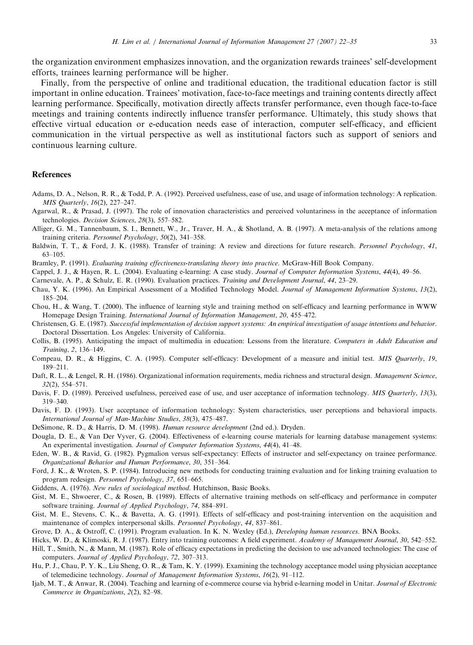<span id="page-11-0"></span>the organization environment emphasizes innovation, and the organization rewards trainees' self-development efforts, trainees learning performance will be higher.

Finally, from the perspective of online and traditional education, the traditional education factor is still important in online education. Trainees' motivation, face-to-face meetings and training contents directly affect learning performance. Specifically, motivation directly affects transfer performance, even though face-to-face meetings and training contents indirectly influence transfer performance. Ultimately, this study shows that effective virtual education or e-education needs ease of interaction, computer self-efficacy, and efficient communication in the virtual perspective as well as institutional factors such as support of seniors and continuous learning culture.

## References

- Adams, D. A., Nelson, R. R., & Todd, P. A. (1992). Perceived usefulness, ease of use, and usage of information technology: A replication. MIS Quarterly, 16(2), 227–247.
- Agarwal, R., & Prasad, J. (1997). The role of innovation characteristics and perceived voluntariness in the acceptance of information technologies. Decision Sciences, 28(3), 557–582.
- Alliger, G. M., Tannenbaum, S. I., Bennett, W., Jr., Traver, H. A., & Shotland, A. B. (1997). A meta-analysis of the relations among training criteria. Personnel Psychology, 50(2), 341–358.
- Baldwin, T. T., & Ford, J. K. (1988). Transfer of training: A review and directions for future research. Personnel Psychology, 41, 63–105.
- Bramley, P. (1991). Evaluating training effectiveness-translating theory into practice. McGraw-Hill Book Company.
- Cappel, J. J., & Hayen, R. L. (2004). Evaluating e-learning: A case study. Journal of Computer Information Systems, 44(4), 49–56.
- Carnevale, A. P., & Schulz, E. R. (1990). Evaluation practices. Training and Development Journal, 44, 23–29.
- Chau, Y. K. (1996). An Empirical Assessment of a Modified Technology Model. Journal of Management Information Systems, 13(2), 185–204.
- Chou, H., & Wang, T. (2000). The influence of learning style and training method on self-efficacy and learning performance in WWW Homepage Design Training. International Journal of Information Management, 20, 455–472.
- Christensen, G. E. (1987). Successful implementation of decision support systems: An empirical investigation of usage intentions and behavior. Doctoral Dissertation. Los Angeles: University of California.
- Collis, B. (1995). Anticipating the impact of multimedia in education: Lessons from the literature. Computers in Adult Education and Training, 2, 136–149.
- Compeau, D. R., & Higgins, C. A. (1995). Computer self-efficacy: Development of a measure and initial test. MIS Quarterly, 19, 189–211.
- Daft, R. L., & Lengel, R. H. (1986). Organizational information requirements, media richness and structural design. Management Science, 32(2), 554–571.
- Davis, F. D. (1989). Perceived usefulness, perceived ease of use, and user acceptance of information technology. MIS Quarterly, 13(3), 319–340.
- Davis, F. D. (1993). User acceptance of information technology: System characteristics, user perceptions and behavioral impacts. International Journal of Man-Machine Studies, 38(3), 475–487.
- DeSimone, R. D., & Harris, D. M. (1998). Human resource development (2nd ed.). Dryden.
- Dougla, D. E., & Van Der Vyver, G. (2004). Effectiveness of e-learning course materials for learning database management systems: An experimental investigation. Journal of Computer Information Systems, 44(4), 41–48.
- Eden, W. B., & Ravid, G. (1982). Pygmalion versus self-expectancy: Effects of instructor and self-expectancy on trainee performance. Organizational Behavior and Human Performance, 30, 351–364.
- Ford, J. K., & Wroten, S. P. (1984). Introducing new methods for conducting training evaluation and for linking training evaluation to program redesign. Personnel Psychology, 37, 651–665.
- Giddens, A. (1976). New rules of sociological method. Hutchinson, Basic Books.
- Gist, M. E., Shwoerer, C., & Rosen, B. (1989). Effects of alternative training methods on self-efficacy and performance in computer software training. Journal of Applied Psychology, 74, 884–891.
- Gist, M. E., Stevens, C. K., & Bavetta, A. G. (1991). Effects of self-efficacy and post-training intervention on the acquisition and maintenance of complex interpersonal skills. Personnel Psychology, 44, 837–861.
- Grove, D. A., & Ostroff, C. (1991). Program evaluation. In K. N. Wexley (Ed.), Developing human resources. BNA Books.
- Hicks, W. D., & Klimoski, R. J. (1987). Entry into training outcomes: A field experiment. Academy of Management Journal, 30, 542–552.
- Hill, T., Smith, N., & Mann, M. (1987). Role of efficacy expectations in predicting the decision to use advanced technologies: The case of computers. Journal of Applied Psychology, 72, 307–313.
- Hu, P. J., Chau, P. Y. K., Liu Sheng, O. R., & Tam, K. Y. (1999). Examining the technology acceptance model using physician acceptance of telemedicine technology. Journal of Management Information Systems, 16(2), 91–112.
- Ijab, M. T., & Anwar, R. (2004). Teaching and learning of e-commerce course via hybrid e-learning model in Unitar. Journal of Electronic Commerce in Organizations, 2(2), 82–98.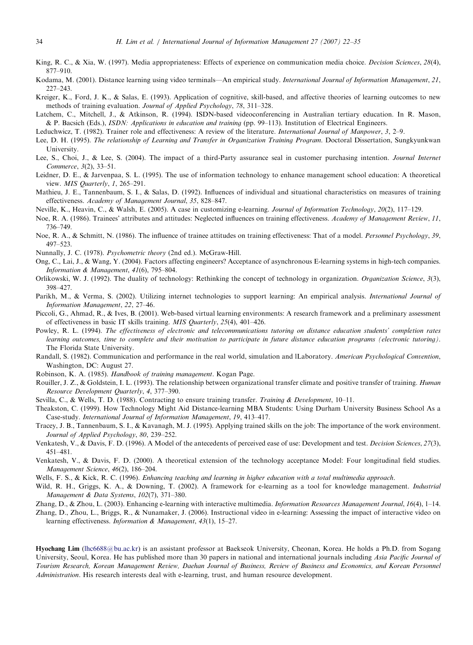- <span id="page-12-0"></span>King, R. C., & Xia, W. (1997). Media appropriateness: Effects of experience on communication media choice. Decision Sciences, 28(4), 877–910.
- Kodama, M. (2001). Distance learning using video terminals—An empirical study. International Journal of Information Management, 21, 227–243.
- Kreiger, K., Ford, J. K., & Salas, E. (1993). Application of cognitive, skill-based, and affective theories of learning outcomes to new methods of training evaluation. Journal of Applied Psychology, 78, 311–328.
- Latchem, C., Mitchell, J., & Atkinson, R. (1994). ISDN-based videoconferencing in Australian tertiary education. In R. Mason, & P. Bacsich (Eds.), ISDN: Applications in education and training (pp. 99–113). Institution of Electrical Engineers.
- Leduchwicz, T. (1982). Trainer role and effectiveness: A review of the literature. International Journal of Manpower, 3, 2–9.
- Lee, D. H. (1995). The relationship of Learning and Transfer in Organization Training Program. Doctoral Dissertation, Sungkyunkwan University.
- Lee, S., Choi, J., & Lee, S. (2004). The impact of a third-Party assurance seal in customer purchasing intention. Journal Internet Commerce, 3(2), 33–51.
- Leidner, D. E., & Jarvenpaa, S. L. (1995). The use of information technology to enhance management school education: A theoretical view. MIS Quarterly, 1, 265-291.
- Mathieu, J. E., Tannenbaum, S. I., & Salas, D. (1992). Influences of individual and situational characteristics on measures of training effectiveness. Academy of Management Journal, 35, 828–847.
- Neville, K., Heavin, C., & Walsh, E. (2005). A case in customizing e-learning. Journal of Information Technology, 20(2), 117–129.
- Noe, R. A. (1986). Trainees' attributes and attitudes: Neglected influences on training effectiveness. Academy of Management Review, 11, 736–749.
- Noe, R. A., & Schmitt, N. (1986). The influence of trainee attitudes on training effectiveness: That of a model. Personnel Psychology, 39, 497–523.
- Nunnally, J. C. (1978). Psychometric theory (2nd ed.). McGraw-Hill.
- Ong, C., Lai, J., & Wang, Y. (2004). Factors affecting engineers? Acceptance of asynchronous E-learning systems in high-tech companies. Information & Management, 41(6), 795–804.
- Orlikowski, W. J. (1992). The duality of technology: Rethinking the concept of technology in organization. Organization Science, 3(3), 398–427.
- Parikh, M., & Verma, S. (2002). Utilizing internet technologies to support learning: An empirical analysis. International Journal of Information Management, 22, 27–46.
- Piccoli, G., Ahmad, R., & Ives, B. (2001). Web-based virtual learning environments: A research framework and a preliminary assessment of effectiveness in basic IT skills training. MIS Quarterly, 25(4), 401–426.
- Powley, R. L. (1994). The effectiveness of electronic and telecommunications tutoring on distance education students' completion rates learning outcomes, time to complete and their motivation to participate in future distance education programs (electronic tutoring). The Florida State University.
- Randall, S. (1982). Communication and performance in the real world, simulation and lLaboratory. American Psychological Convention, Washington, DC: August 27.
- Robinson, K. A. (1985). Handbook of training management. Kogan Page.
- Rouiller, J. Z., & Goldstein, I. L. (1993). The relationship between organizational transfer climate and positive transfer of training. Human Resource Development Quarterly, 4, 377–390.
- Sevilla, C., & Wells, T. D. (1988). Contracting to ensure training transfer. Training & Development, 10–11.
- Theakston, C. (1999). How Technology Might Aid Distance-learning MBA Students: Using Durham University Business School As a Case-study. International Journal of Information Management, 19, 413–417.
- Tracey, J. B., Tannenbaum, S. I., & Kavanagh, M. J. (1995). Applying trained skills on the job: The importance of the work environment. Journal of Applied Psychology, 80, 239–252.
- Venkatesh, V., & Davis, F. D. (1996). A Model of the antecedents of perceived ease of use: Development and test. *Decision Sciences*, 27(3), 451–481.
- Venkatesh, V., & Davis, F. D. (2000). A theoretical extension of the technology acceptance Model: Four longitudinal field studies. Management Science, 46(2), 186–204.
- Wells, F. S., & Kick, R. C. (1996). Enhancing teaching and learning in higher education with a total multimedia approach.
- Wild, R. H., Griggs, K. A., & Downing, T. (2002). A framework for e-learning as a tool for knowledge management. Industrial Management & Data Systems, 102(7), 371–380.
- Zhang, D., & Zhou, L. (2003). Enhancing e-learning with interactive multimedia. Information Resources Management Journal, 16(4), 1–14.
- Zhang, D., Zhou, L., Briggs, R., & Nunamaker, J. (2006). Instructional video in e-learning: Assessing the impact of interactive video on learning effectiveness. Information & Management, 43(1), 15–27.

Hyochang Lim [\(lhc6688@bu.ac.kr](mailto:lhc6688@bu.ac.kr)) is an assistant professor at Baekseok University, Cheonan, Korea. He holds a Ph.D. from Sogang University, Seoul, Korea. He has published more than 30 papers in national and international journals including Asia Pacific Journal of Tourism Research, Korean Management Review, Daehan Journal of Business, Review of Business and Economics, and Korean Personnel Administration. His research interests deal with e-learning, trust, and human resource development.